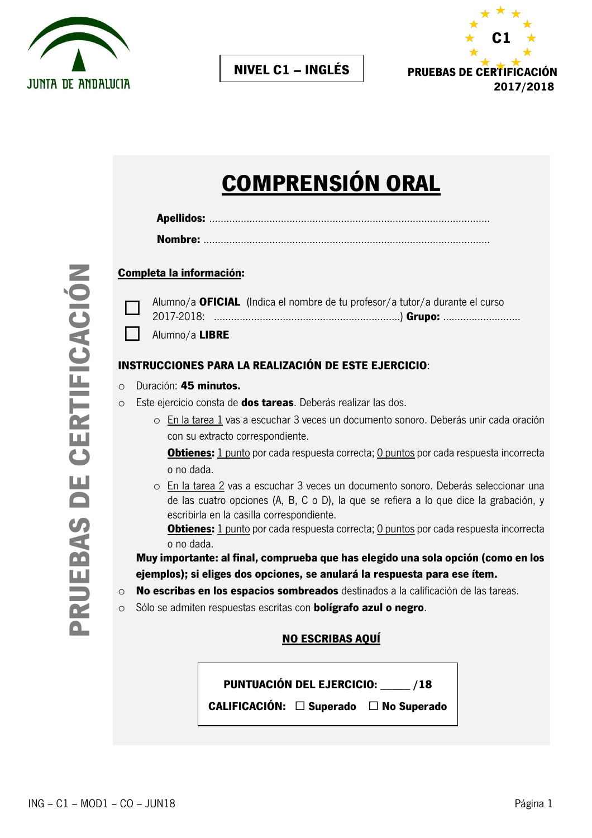



## **NIVEL C1 – INGLÉS**

# **COMPRENSIÓN ORAL**

#### **Completa la información:**



| $\Box$ Alumno/a <b>LIBRE</b> |  |
|------------------------------|--|

#### **INSTRUCCIONES PARA LA REALIZACIÓN DE ESTE EJERCICIO**:

- o Duración: **45 minutos.**
- o Este ejercicio consta de **dos tareas**. Deberás realizar las dos.
	- o En la tarea 1 vas a escuchar 3 veces un documento sonoro. Deberás unir cada oración con su extracto correspondiente.

**Obtienes:** 1 punto por cada respuesta correcta; 0 puntos por cada respuesta incorrecta o no dada.

o En la tarea 2 vas a escuchar 3 veces un documento sonoro. Deberás seleccionar una de las cuatro opciones (A, B, C o D), la que se refiera a lo que dice la grabación, y escribirla en la casilla correspondiente.

**Obtienes:** 1 punto por cada respuesta correcta; 0 puntos por cada respuesta incorrecta o no dada.

**Muy importante: al final, comprueba que has elegido una sola opción (como en los ejemplos); si eliges dos opciones, se anulará la respuesta para ese ítem.**

- o **No escribas en los espacios sombreados** destinados a la calificación de las tareas.
- o Sólo se admiten respuestas escritas con **bolígrafo azul o negro**.

#### **NO ESCRIBAS AQUÍ**

**PUNTUACIÓN DEL EJERCICIO:** \_\_\_\_\_ **/18 CALIFICACIÓN: Superado No Superado**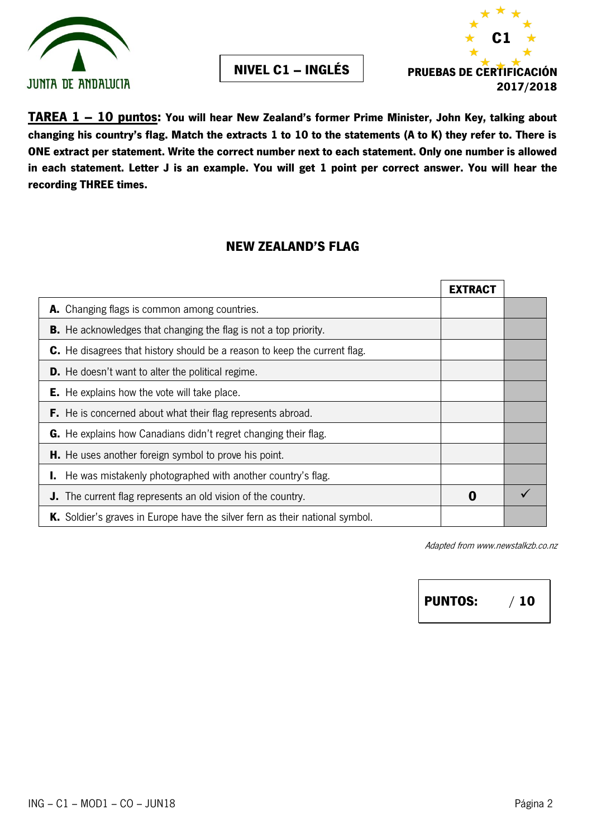





**TAREA 1 – 10 puntos: You will hear New Zealand's former Prime Minister, John Key, talking about changing his country's flag. Match the extracts 1 to 10 to the statements (A to K) they refer to. There is ONE extract per statement. Write the correct number next to each statement. Only one number is allowed in each statement. Letter J is an example. You will get 1 point per correct answer. You will hear the recording THREE times.** 

## **NEW ZEALAND'S FLAG**

|                                                                              | <b>EXTRACT</b> |  |
|------------------------------------------------------------------------------|----------------|--|
| A. Changing flags is common among countries.                                 |                |  |
| <b>B.</b> He acknowledges that changing the flag is not a top priority.      |                |  |
| C. He disagrees that history should be a reason to keep the current flag.    |                |  |
| <b>D.</b> He doesn't want to alter the political regime.                     |                |  |
| <b>E.</b> He explains how the vote will take place.                          |                |  |
| <b>F.</b> He is concerned about what their flag represents abroad.           |                |  |
| <b>G.</b> He explains how Canadians didn't regret changing their flag.       |                |  |
| <b>H.</b> He uses another foreign symbol to prove his point.                 |                |  |
| <b>I.</b> He was mistakenly photographed with another country's flag.        |                |  |
| <b>J.</b> The current flag represents an old vision of the country.          | 0              |  |
| K. Soldier's graves in Europe have the silver fern as their national symbol. |                |  |

Adapted from www.newstalkzb.co.nz